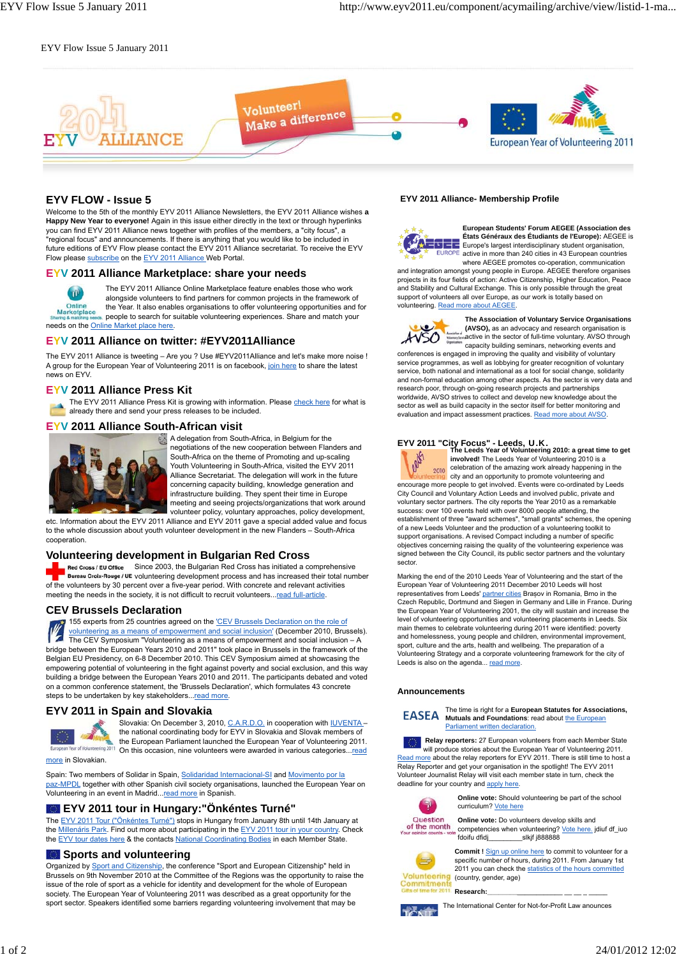#### EYV Flow Issue 5 January 2011



# **EYV FLOW - Issue 5**

Welcome to the 5th of the monthly EYV 2011 Alliance Newsletters, the EYV 2011 Alliance wishes **a** Happy New Year to everyone! Again in this issue either directly in the text or through hyperlinks you can find EYV 2011 Alliance news together with profiles of the members, a "city focus", a "regional focus" and announcements. If there is anything that you would like to be included in future editions of EYV Flow please contact the EYV 2011 Alliance secretariat. To receive the EYV Flow please subscribe on the EYV 2011 Alliance Web Portal.

#### **EYV 2011 Alliance Marketplace: share your needs**



The EYV 2011 Alliance Online Marketplace feature enables those who work

alongside volunteers to find partners for common projects in the framework of the Year. It also enables organisations to offer volunteering opportunities and for people to search for suitable volunteering experiences. Share and match your needs on the Online Market place here.

# **EYV 2011 Alliance on twitter: #EYV2011Alliance**

The EYV 2011 Alliance is tweeting – Are you ? Use #EYV2011Alliance and let's make more noise ! A group for the European Year of Volunteering 2011 is on facebook, join here to share the latest news on FYV

# **EYV 2011 Alliance Press Kit**

The EYV 2011 Alliance Press Kit is growing with information. Please check here for what is already there and send your press releases to be included.

#### **EYV 2011 Alliance South-African visit**



A delegation from South-Africa, in Belgium for the negotiations of the new cooperation between Flanders and South-Africa on the theme of Promoting and up-scaling Youth Volunteering in South-Africa, visited the EYV 2011 Alliance Secretariat. The delegation will work in the future concerning capacity building, knowledge generation and infrastructure building. They spent their time in Europe meeting and seeing projects/organizations that work around volunteer policy, voluntary approaches, policy development,

etc. Information about the EYV 2011 Alliance and EYV 2011 gave a special added value and focus to the whole discussion about youth volunteer development in the new Flanders – South-Africa cooperation

### **Volunteering development in Bulgarian Red Cross**

Red Cross / EU Office Since 2003, the Bulgarian Red Cross has initiated a comprehensive Bureau Croix-Rouge / UE volunteering development process and has increased their total number of the volunteers by 30 percent over a five-year period. With concrete and relevant activities meeting the needs in the society, it is not difficult to recruit volunteers...read full-article.

#### **CEV Brussels Declaration**

155 experts from 25 countries agreed on the 'CEV Brussels Declaration on the role of volunteering as a means of empowerment and social inclusion' (December 2010, Brussels). The CEV Symposium "Volunteering as a means of empowerment and social inclusion – A bridge between the European Years 2010 and 2011" took place in Brussels in the framework of the Belgian EU Presidency, on 6-8 December 2010. This CEV Symposium aimed at showcasing the empowering potential of volunteering in the fight against poverty and social exclusion, and this way building a bridge between the European Years 2010 and 2011. The participants debated and voted on a common conference statement, the 'Brussels Declaration', which formulates 43 concrete steps to be undertaken by key stakeholders...read more.

#### **EYV 2011 in Spain and Slovakia**



Slovakia: On December 3, 2010, C.A.R.D.O. in cooperation with IUVENTA the national coordinating body for EYV in Slovakia and Slovak members of the European Parliament launched the European Year of Volunteering 2011.

more in Slovakian.

Spain: Two members of Solidar in Spain, Solidaridad Internacional-SI and Movimento por la paz-MPDL together with other Spanish civil society organisations, launched the European Year on Volunteering in an event in Madrid...read more in Spanish.

# **EYV 2011 tour in Hungary:"Önkéntes Turné"**

The EYV 2011 Tour ("Önkéntes Turné") stops in Hungary from January 8th until 14th January at the Millenáris Park. Find out more about participating in the EYV 2011 tour in your country. Check the EYV tour dates here & the contacts National Coordinating Bodies in each Member State.

#### **Sports and volunteering**

Organized by Sport and Citizenship, the conference "Sport and European Citizenship" held in Brussels on 9th November 2010 at the Committee of the Regions was the opportunity to raise the issue of the role of sport as a vehicle for identity and development for the whole of European society. The European Year of Volunteering 2011 was described as a great opportunity for the sport sector. Speakers identified some barriers regarding volunteering involvement that may be

#### **EYV 2011 Alliance- Membership Profile**



**European Students' Forum AEGEE (Association des États Généraux des Étudiants de l'Europe):** AEGEE is  $E = E$ urope's largest interdisciplinary student organisation, active in more than 240 cities in 43 European countries where AEGEE promotes co-operation, communication

and integration amongst young people in Europe. AEGEE therefore organises projects in its four fields of action: Active Citizenship, Higher Education, Peace and Stability and Cultural Exchange. This is only possible through the great support of volunteers all over Europe, as our work is totally based on volunteering. Read more about AEGEE.



**The Association of Voluntary Service Organisations (AVSO),** as an advocacy and research organisation is active in the sector of full-time voluntary. AVSO through capacity building seminars, networking events and

conferences is engaged in improving the quality and visibility of voluntary service programmes, as well as lobbying for greater recognition of voluntary service, both national and international as a tool for social change, solidarity and non-formal education among other aspects. As the sector is very data and research poor, through on-going research projects and partnerships worldwide, AVSO strives to collect and develop new knowledge about the sector as well as build capacity in the sector itself for better monitoring and evaluation and impact assessment practices. Read more about AVSO

**EYV 2011 "City Focus" - Leeds**, U.K. **The Leeds Year of Volunteering 2010: a great time to get involved!** The Leeds Year of Volunteering 2010 is a celebration of the amazing work already happening in the 2010 **Colunteering** city and an opportunity to promote volunteering and<br>encourage more people to get involved. Events were co-ordinated by Leeds City Council and Voluntary Action Leeds and involved public, private and voluntary sector partners. The city reports the Year 2010 as a remarkable success: over 100 events held with over 8000 people attending, the establishment of three "award schemes", "small grants" schemes, the opening of a new Leeds Volunteer and the production of a volunteering toolkit to support organisations. A revised Compact including a number of specific objectives concerning raising the quality of the volunteering experience was signed between the City Council, its public sector partners and the voluntary sector.

Marking the end of the 2010 Leeds Year of Volunteering and the start of the European Year of Volunteering 2011 December 2010 Leeds will host<br>representatives from Leeds' partner cities Brașov in Romania, Brno in the Czech Republic, Dortmund and Siegen in Germany and Lille in France. During the European Year of Volunteering 2001, the city will sustain and increase the level of volunteering opportunities and volunteering placements in Leeds. Six main themes to celebrate volunteering during 2011 were identified: poverty and homelessness, young people and children, environmental improvement, sport, culture and the arts, health and wellbeing. The preparation of a Volunteering Strategy and a corporate volunteering framework for the city of Leeds is also on the agenda... read more.

#### **Announcements**



The time is right for a **European Statutes for Associations, Mutuals and Foundations: read about the European** Parliament written declaration.

 **Relay reporters:** 27 European volunteers from each Member State will produce stories about the European Year of Volunteering 2011. Read more about the relay reporters for EYV 2011. There is still time to host a Relay Reporter and get your organisation in the spotlight! The EYV 2011 Volunteer Journalist Relay will visit each member state in turn, check the deadline for your country and apply here.



**Online vote:** Should volunteering be part of the school curriculum? Vote here







**Commit !** Sign up online here to commit to volunteer for a specific number of hours, during 2011. From January 1st 2011 you can check the statistics of the hours committed (country, gender, age)

Research:

The International Center for Not-for-Profit Law anounces **TANK**